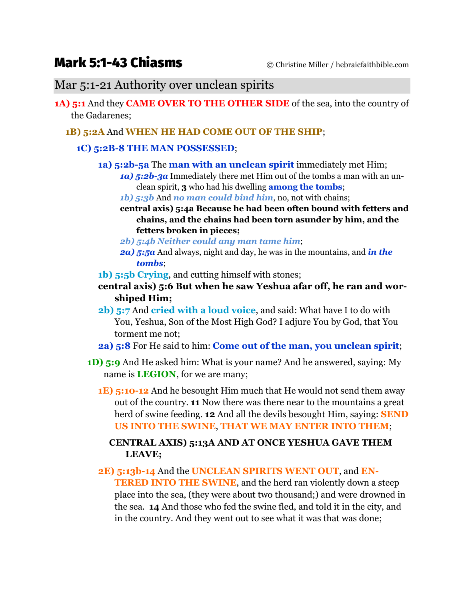# Mark 5:1-43 Chiasms © Christine Miller / hebraicfaithbible.com

## Mar 5:1-21 Authority over unclean spirits

- **1A) 5:1** And they **CAME OVER TO THE OTHER SIDE** of the sea, into the country of the Gadarenes;
	- **1B) 5:2A** And **WHEN HE HAD COME OUT OF THE SHIP**;

#### **1C) 5:2B-8 THE MAN POSSESSED**;

- **1a) 5:2b-5a** The **man with an unclean spirit** immediately met Him;
	- *1a) 5:2b-3a* Immediately there met Him out of the tombs a man with an unclean spirit, **3** who had his dwelling **among the tombs**;
	- *1b) 5:3b* And *no man could bind him*, no, not with chains;
	- **central axis) 5:4a Because he had been often bound with fetters and chains, and the chains had been torn asunder by him, and the fetters broken in pieces;**
	- *2b) 5:4b Neither could any man tame him*;
	- *2a) 5:5a* And always, night and day, he was in the mountains, and *in the tombs*;
- **1b) 5:5b Crying**, and cutting himself with stones;
- **central axis) 5:6 But when he saw Yeshua afar off, he ran and worshiped Him;**
- **2b) 5:7** And **cried with a loud voice**, and said: What have I to do with You, Yeshua, Son of the Most High God? I adjure You by God, that You torment me not;
- **2a) 5:8** For He said to him: **Come out of the man, you unclean spirit**;
- **1D) 5:9** And He asked him: What is your name? And he answered, saying: My name is **LEGION**, for we are many;
	- **1E) 5:10-12** And he besought Him much that He would not send them away out of the country. **11** Now there was there near to the mountains a great herd of swine feeding. **12** And all the devils besought Him, saying: **SEND US INTO THE SWINE**, **THAT WE MAY ENTER INTO THEM**;

#### **CENTRAL AXIS) 5:13A AND AT ONCE YESHUA GAVE THEM LEAVE;**

**2E) 5:13b-14** And the **UNCLEAN SPIRITS WENT OUT**, and **EN-TERED INTO THE SWINE**, and the herd ran violently down a steep place into the sea, (they were about two thousand;) and were drowned in the sea. **14** And those who fed the swine fled, and told it in the city, and in the country. And they went out to see what it was that was done;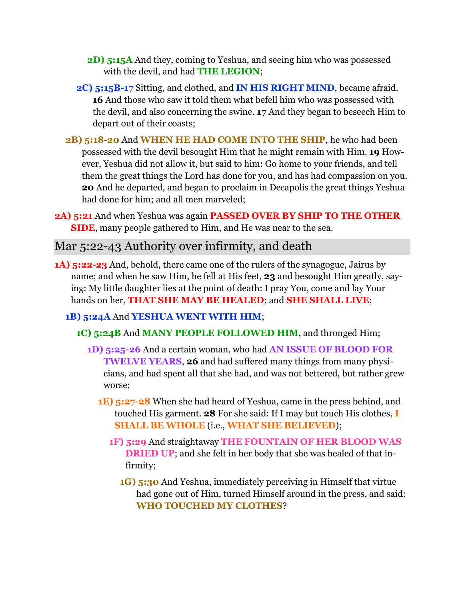- **2D)** 5:15A And they, coming to Yeshua, and seeing him who was possessed with the devil, and had **THE LEGION**;
- **2C) 5:15B-17** Sitting, and clothed, and **IN HIS RIGHT MIND**, became afraid. **16** And those who saw it told them what befell him who was possessed with the devil, and also concerning the swine. **17** And they began to beseech Him to depart out of their coasts;
- **2B) 5:18-20** And **WHEN HE HAD COME INTO THE SHIP**, he who had been possessed with the devil besought Him that he might remain with Him. **19** However, Yeshua did not allow it, but said to him: Go home to your friends, and tell them the great things the Lord has done for you, and has had compassion on you. **20** And he departed, and began to proclaim in Decapolis the great things Yeshua had done for him; and all men marveled;
- **2A) 5:21** And when Yeshua was again **PASSED OVER BY SHIP TO THE OTHER SIDE**, many people gathered to Him, and He was near to the sea.

# Mar 5:22-43 Authority over infirmity, and death

**1A) 5:22-23** And, behold, there came one of the rulers of the synagogue, Jairus by name; and when he saw Him, he fell at His feet, **23** and besought Him greatly, saying: My little daughter lies at the point of death: I pray You, come and lay Your hands on her, **THAT SHE MAY BE HEALED**; and **SHE SHALL LIVE**;

## **1B) 5:24A** And **YESHUA WENT WITH HIM**;

- **1C) 5:24B** And **MANY PEOPLE FOLLOWED HIM**, and thronged Him;
	- **1D) 5:25-26** And a certain woman, who had **AN ISSUE OF BLOOD FOR TWELVE YEARS**, **26** and had suffered many things from many physicians, and had spent all that she had, and was not bettered, but rather grew worse;
		- **1E) 5:27-28** When she had heard of Yeshua, came in the press behind, and touched His garment. **28** For she said: If I may but touch His clothes, **I SHALL BE WHOLE** (i.e., **WHAT SHE BELIEVED**);
			- **1F) 5:29** And straightaway **THE FOUNTAIN OF HER BLOOD WAS DRIED UP**; and she felt in her body that she was healed of that infirmity;
				- **1G)** 5:30 And Yeshua, immediately perceiving in Himself that virtue had gone out of Him, turned Himself around in the press, and said: **WHO TOUCHED MY CLOTHES**?